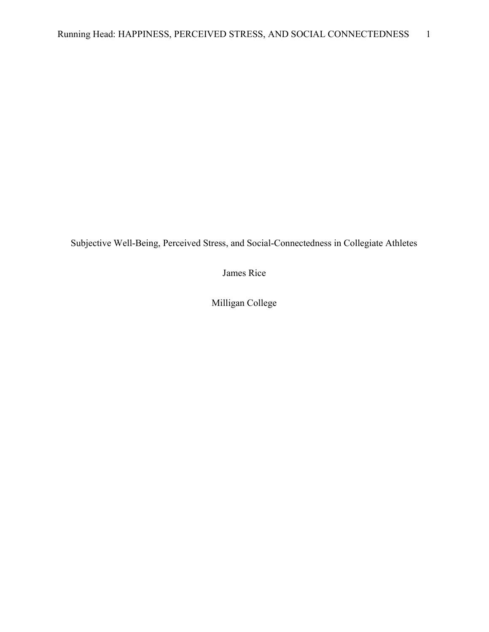Subjective Well-Being, Perceived Stress, and Social-Connectedness in Collegiate Athletes

James Rice

Milligan College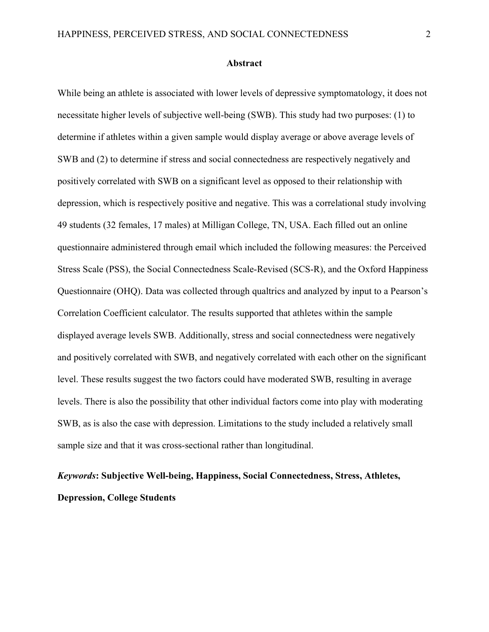#### Abstract

While being an athlete is associated with lower levels of depressive symptomatology, it does not necessitate higher levels of subjective well-being (SWB). This study had two purposes: (1) to determine if athletes within a given sample would display average or above average levels of SWB and (2) to determine if stress and social connectedness are respectively negatively and positively correlated with SWB on a significant level as opposed to their relationship with depression, which is respectively positive and negative. This was a correlational study involving 49 students (32 females, 17 males) at Milligan College, TN, USA. Each filled out an online questionnaire administered through email which included the following measures: the Perceived Stress Scale (PSS), the Social Connectedness Scale-Revised (SCS-R), and the Oxford Happiness Questionnaire (OHQ). Data was collected through qualtrics and analyzed by input to a Pearson's Correlation Coefficient calculator. The results supported that athletes within the sample displayed average levels SWB. Additionally, stress and social connectedness were negatively and positively correlated with SWB, and negatively correlated with each other on the significant level. These results suggest the two factors could have moderated SWB, resulting in average levels. There is also the possibility that other individual factors come into play with moderating SWB, as is also the case with depression. Limitations to the study included a relatively small sample size and that it was cross-sectional rather than longitudinal.

# Keywords: Subjective Well-being, Happiness, Social Connectedness, Stress, Athletes, Depression, College Students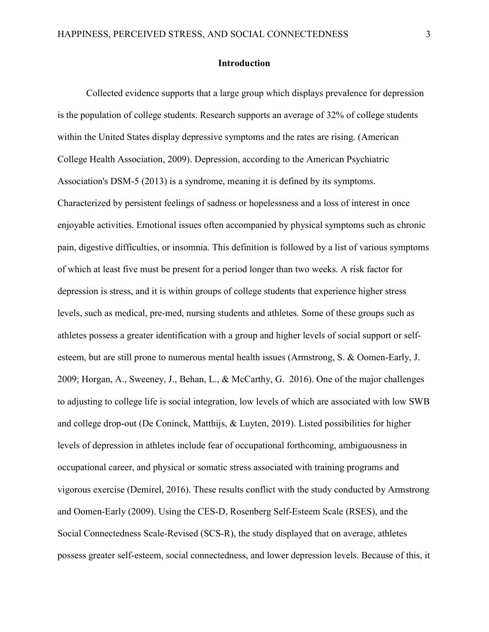# Introduction

 Collected evidence supports that a large group which displays prevalence for depression is the population of college students. Research supports an average of 32% of college students within the United States display depressive symptoms and the rates are rising. (American College Health Association, 2009). Depression, according to the American Psychiatric Association's DSM-5 (2013) is a syndrome, meaning it is defined by its symptoms. Characterized by persistent feelings of sadness or hopelessness and a loss of interest in once enjoyable activities. Emotional issues often accompanied by physical symptoms such as chronic pain, digestive difficulties, or insomnia. This definition is followed by a list of various symptoms of which at least five must be present for a period longer than two weeks. A risk factor for depression is stress, and it is within groups of college students that experience higher stress levels, such as medical, pre-med, nursing students and athletes. Some of these groups such as athletes possess a greater identification with a group and higher levels of social support or selfesteem, but are still prone to numerous mental health issues (Armstrong, S. & Oomen-Early, J. 2009; Horgan, A., Sweeney, J., Behan, L., & McCarthy, G. 2016). One of the major challenges to adjusting to college life is social integration, low levels of which are associated with low SWB and college drop-out (De Coninck, Matthijs, & Luyten, 2019). Listed possibilities for higher levels of depression in athletes include fear of occupational forthcoming, ambiguousness in occupational career, and physical or somatic stress associated with training programs and vigorous exercise (Demirel, 2016). These results conflict with the study conducted by Armstrong and Oomen-Early (2009). Using the CES-D, Rosenberg Self-Esteem Scale (RSES), and the Social Connectedness Scale-Revised (SCS-R), the study displayed that on average, athletes possess greater self-esteem, social connectedness, and lower depression levels. Because of this, it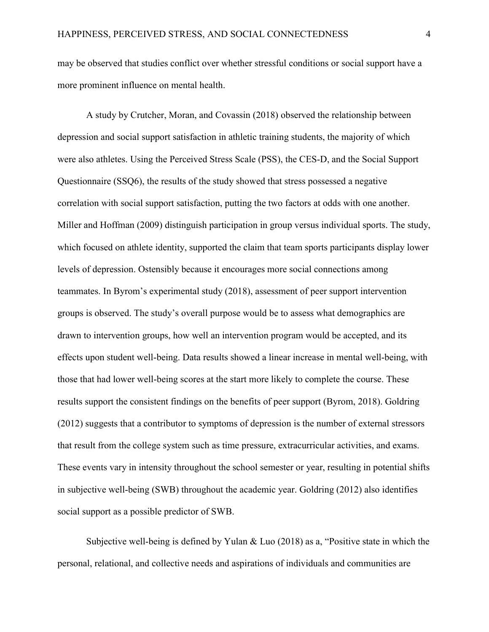may be observed that studies conflict over whether stressful conditions or social support have a more prominent influence on mental health.

 A study by Crutcher, Moran, and Covassin (2018) observed the relationship between depression and social support satisfaction in athletic training students, the majority of which were also athletes. Using the Perceived Stress Scale (PSS), the CES-D, and the Social Support Questionnaire (SSQ6), the results of the study showed that stress possessed a negative correlation with social support satisfaction, putting the two factors at odds with one another. Miller and Hoffman (2009) distinguish participation in group versus individual sports. The study, which focused on athlete identity, supported the claim that team sports participants display lower levels of depression. Ostensibly because it encourages more social connections among teammates. In Byrom's experimental study (2018), assessment of peer support intervention groups is observed. The study's overall purpose would be to assess what demographics are drawn to intervention groups, how well an intervention program would be accepted, and its effects upon student well-being. Data results showed a linear increase in mental well-being, with those that had lower well-being scores at the start more likely to complete the course. These results support the consistent findings on the benefits of peer support (Byrom, 2018). Goldring (2012) suggests that a contributor to symptoms of depression is the number of external stressors that result from the college system such as time pressure, extracurricular activities, and exams. These events vary in intensity throughout the school semester or year, resulting in potential shifts in subjective well-being (SWB) throughout the academic year. Goldring (2012) also identifies social support as a possible predictor of SWB.

 Subjective well-being is defined by Yulan & Luo (2018) as a, "Positive state in which the personal, relational, and collective needs and aspirations of individuals and communities are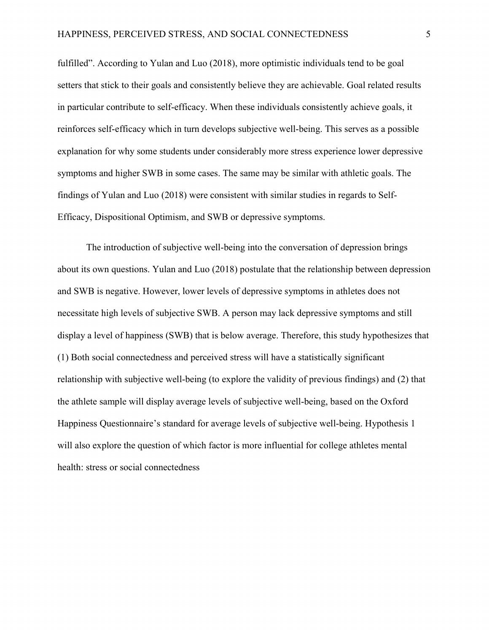fulfilled". According to Yulan and Luo (2018), more optimistic individuals tend to be goal setters that stick to their goals and consistently believe they are achievable. Goal related results in particular contribute to self-efficacy. When these individuals consistently achieve goals, it reinforces self-efficacy which in turn develops subjective well-being. This serves as a possible explanation for why some students under considerably more stress experience lower depressive symptoms and higher SWB in some cases. The same may be similar with athletic goals. The findings of Yulan and Luo (2018) were consistent with similar studies in regards to Self-Efficacy, Dispositional Optimism, and SWB or depressive symptoms.

 The introduction of subjective well-being into the conversation of depression brings about its own questions. Yulan and Luo (2018) postulate that the relationship between depression and SWB is negative. However, lower levels of depressive symptoms in athletes does not necessitate high levels of subjective SWB. A person may lack depressive symptoms and still display a level of happiness (SWB) that is below average. Therefore, this study hypothesizes that (1) Both social connectedness and perceived stress will have a statistically significant relationship with subjective well-being (to explore the validity of previous findings) and (2) that the athlete sample will display average levels of subjective well-being, based on the Oxford Happiness Questionnaire's standard for average levels of subjective well-being. Hypothesis 1 will also explore the question of which factor is more influential for college athletes mental health: stress or social connectedness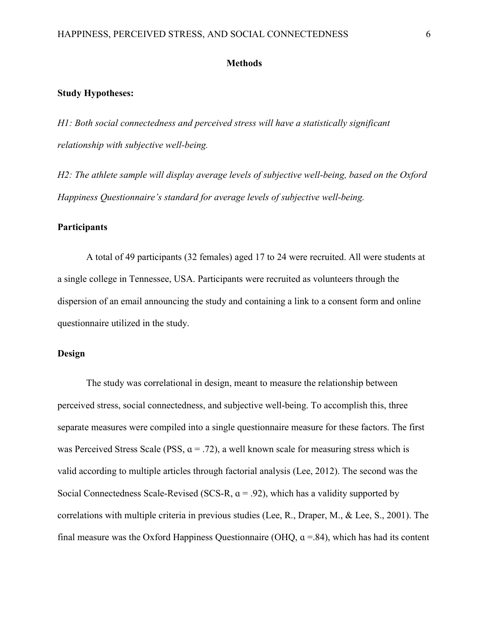#### **Methods**

#### Study Hypotheses:

H1: Both social connectedness and perceived stress will have a statistically significant relationship with subjective well-being.

H2: The athlete sample will display average levels of subjective well-being, based on the Oxford Happiness Questionnaire's standard for average levels of subjective well-being.

#### **Participants**

 A total of 49 participants (32 females) aged 17 to 24 were recruited. All were students at a single college in Tennessee, USA. Participants were recruited as volunteers through the dispersion of an email announcing the study and containing a link to a consent form and online questionnaire utilized in the study.

#### Design

 The study was correlational in design, meant to measure the relationship between perceived stress, social connectedness, and subjective well-being. To accomplish this, three separate measures were compiled into a single questionnaire measure for these factors. The first was Perceived Stress Scale (PSS,  $a = .72$ ), a well known scale for measuring stress which is valid according to multiple articles through factorial analysis (Lee, 2012). The second was the Social Connectedness Scale-Revised (SCS-R,  $\alpha$  = .92), which has a validity supported by correlations with multiple criteria in previous studies (Lee, R., Draper, M., & Lee, S., 2001). The final measure was the Oxford Happiness Questionnaire (OHQ,  $\alpha$  =.84), which has had its content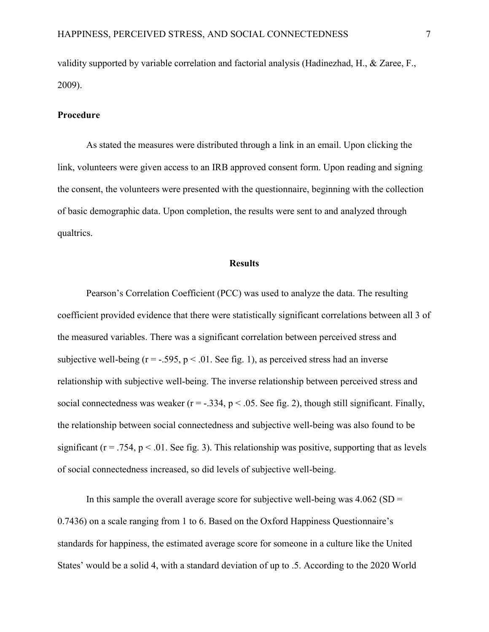validity supported by variable correlation and factorial analysis (Hadinezhad, H., & Zaree, F., 2009).

#### Procedure

 As stated the measures were distributed through a link in an email. Upon clicking the link, volunteers were given access to an IRB approved consent form. Upon reading and signing the consent, the volunteers were presented with the questionnaire, beginning with the collection of basic demographic data. Upon completion, the results were sent to and analyzed through qualtrics.

#### **Results**

 Pearson's Correlation Coefficient (PCC) was used to analyze the data. The resulting coefficient provided evidence that there were statistically significant correlations between all 3 of the measured variables. There was a significant correlation between perceived stress and subjective well-being ( $r = -0.595$ ,  $p < 0.01$ . See fig. 1), as perceived stress had an inverse relationship with subjective well-being. The inverse relationship between perceived stress and social connectedness was weaker ( $r = -0.334$ ,  $p < 0.05$ . See fig. 2), though still significant. Finally, the relationship between social connectedness and subjective well-being was also found to be significant ( $r = .754$ ,  $p < .01$ . See fig. 3). This relationship was positive, supporting that as levels of social connectedness increased, so did levels of subjective well-being.

In this sample the overall average score for subjective well-being was  $4.062$  (SD = 0.7436) on a scale ranging from 1 to 6. Based on the Oxford Happiness Questionnaire's standards for happiness, the estimated average score for someone in a culture like the United States' would be a solid 4, with a standard deviation of up to .5. According to the 2020 World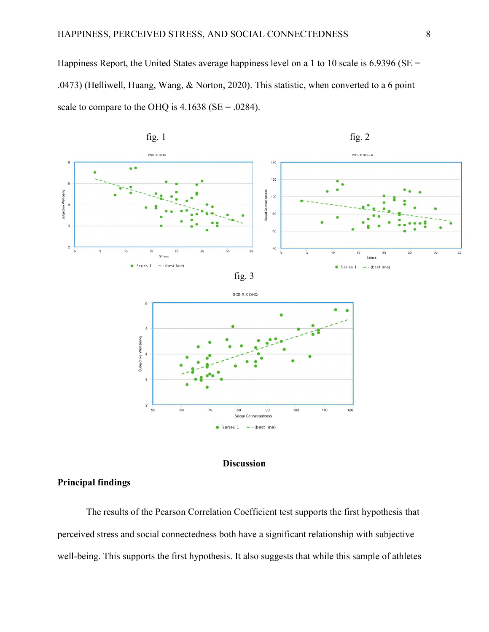Happiness Report, the United States average happiness level on a 1 to 10 scale is  $6.9396$  (SE = .0473) (Helliwell, Huang, Wang, & Norton, 2020). This statistic, when converted to a 6 point scale to compare to the OHQ is  $4.1638$  (SE = .0284).







# Principal findings

 The results of the Pearson Correlation Coefficient test supports the first hypothesis that perceived stress and social connectedness both have a significant relationship with subjective well-being. This supports the first hypothesis. It also suggests that while this sample of athletes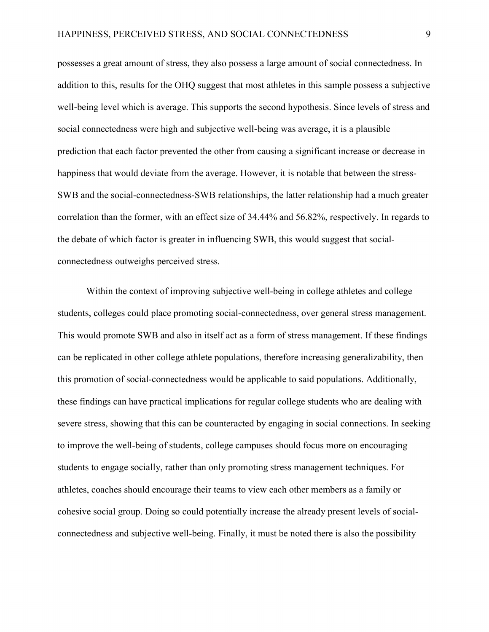possesses a great amount of stress, they also possess a large amount of social connectedness. In addition to this, results for the OHQ suggest that most athletes in this sample possess a subjective well-being level which is average. This supports the second hypothesis. Since levels of stress and social connectedness were high and subjective well-being was average, it is a plausible prediction that each factor prevented the other from causing a significant increase or decrease in happiness that would deviate from the average. However, it is notable that between the stress-SWB and the social-connectedness-SWB relationships, the latter relationship had a much greater correlation than the former, with an effect size of 34.44% and 56.82%, respectively. In regards to the debate of which factor is greater in influencing SWB, this would suggest that socialconnectedness outweighs perceived stress.

 Within the context of improving subjective well-being in college athletes and college students, colleges could place promoting social-connectedness, over general stress management. This would promote SWB and also in itself act as a form of stress management. If these findings can be replicated in other college athlete populations, therefore increasing generalizability, then this promotion of social-connectedness would be applicable to said populations. Additionally, these findings can have practical implications for regular college students who are dealing with severe stress, showing that this can be counteracted by engaging in social connections. In seeking to improve the well-being of students, college campuses should focus more on encouraging students to engage socially, rather than only promoting stress management techniques. For athletes, coaches should encourage their teams to view each other members as a family or cohesive social group. Doing so could potentially increase the already present levels of socialconnectedness and subjective well-being. Finally, it must be noted there is also the possibility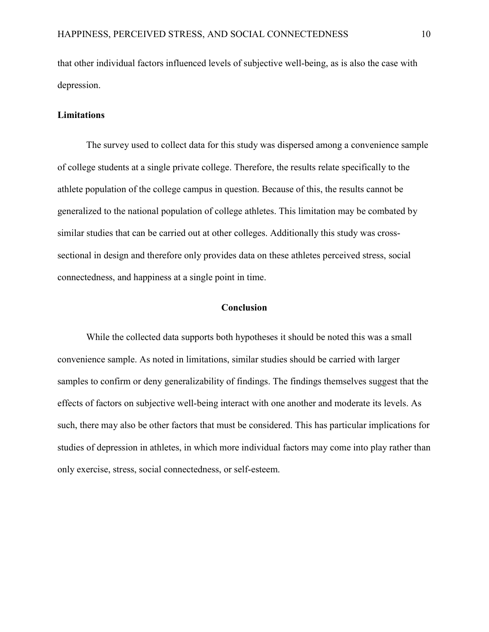that other individual factors influenced levels of subjective well-being, as is also the case with depression.

### **Limitations**

 The survey used to collect data for this study was dispersed among a convenience sample of college students at a single private college. Therefore, the results relate specifically to the athlete population of the college campus in question. Because of this, the results cannot be generalized to the national population of college athletes. This limitation may be combated by similar studies that can be carried out at other colleges. Additionally this study was crosssectional in design and therefore only provides data on these athletes perceived stress, social connectedness, and happiness at a single point in time.

# Conclusion

 While the collected data supports both hypotheses it should be noted this was a small convenience sample. As noted in limitations, similar studies should be carried with larger samples to confirm or deny generalizability of findings. The findings themselves suggest that the effects of factors on subjective well-being interact with one another and moderate its levels. As such, there may also be other factors that must be considered. This has particular implications for studies of depression in athletes, in which more individual factors may come into play rather than only exercise, stress, social connectedness, or self-esteem.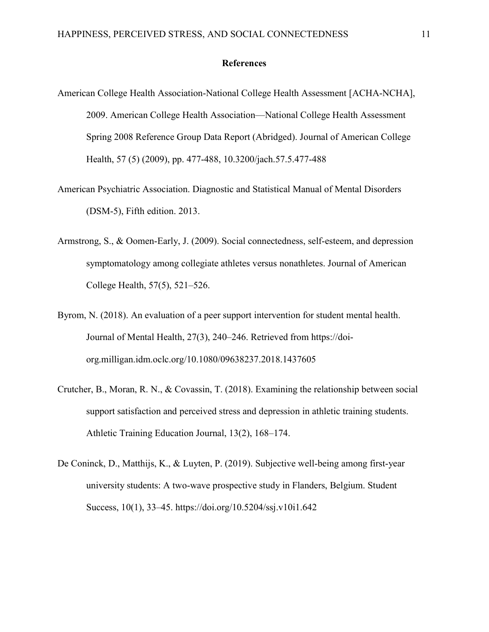#### References

- American College Health Association-National College Health Assessment [ACHA-NCHA], 2009. American College Health Association—National College Health Assessment Spring 2008 Reference Group Data Report (Abridged). Journal of American College Health, 57 (5) (2009), pp. 477-488, 10.3200/jach.57.5.477-488
- American Psychiatric Association. Diagnostic and Statistical Manual of Mental Disorders (DSM-5), Fifth edition. 2013.
- Armstrong, S., & Oomen-Early, J. (2009). Social connectedness, self-esteem, and depression symptomatology among collegiate athletes versus nonathletes. Journal of American College Health, 57(5), 521–526.
- Byrom, N. (2018). An evaluation of a peer support intervention for student mental health. Journal of Mental Health, 27(3), 240–246. Retrieved from https://doi org.milligan.idm.oclc.org/10.1080/09638237.2018.1437605
- Crutcher, B., Moran, R. N., & Covassin, T. (2018). Examining the relationship between social support satisfaction and perceived stress and depression in athletic training students. Athletic Training Education Journal, 13(2), 168–174.
- De Coninck, D., Matthijs, K., & Luyten, P. (2019). Subjective well-being among first-year university students: A two-wave prospective study in Flanders, Belgium. Student Success, 10(1), 33–45. https://doi.org/10.5204/ssj.v10i1.642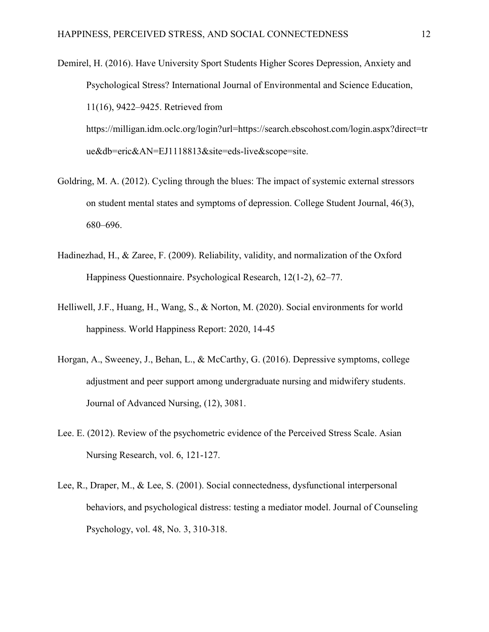- Demirel, H. (2016). Have University Sport Students Higher Scores Depression, Anxiety and Psychological Stress? International Journal of Environmental and Science Education, 11(16), 9422–9425. Retrieved from https://milligan.idm.oclc.org/login?url=https://search.ebscohost.com/login.aspx?direct=tr ue&db=eric&AN=EJ1118813&site=eds-live&scope=site.
- Goldring, M. A. (2012). Cycling through the blues: The impact of systemic external stressors on student mental states and symptoms of depression. College Student Journal, 46(3), 680–696.
- Hadinezhad, H., & Zaree, F. (2009). Reliability, validity, and normalization of the Oxford Happiness Questionnaire. Psychological Research, 12(1-2), 62–77.
- Helliwell, J.F., Huang, H., Wang, S., & Norton, M. (2020). Social environments for world happiness. World Happiness Report: 2020, 14-45
- Horgan, A., Sweeney, J., Behan, L., & McCarthy, G. (2016). Depressive symptoms, college adjustment and peer support among undergraduate nursing and midwifery students. Journal of Advanced Nursing, (12), 3081.
- Lee. E. (2012). Review of the psychometric evidence of the Perceived Stress Scale. Asian Nursing Research, vol. 6, 121-127.
- Lee, R., Draper, M., & Lee, S. (2001). Social connectedness, dysfunctional interpersonal behaviors, and psychological distress: testing a mediator model. Journal of Counseling Psychology, vol. 48, No. 3, 310-318.